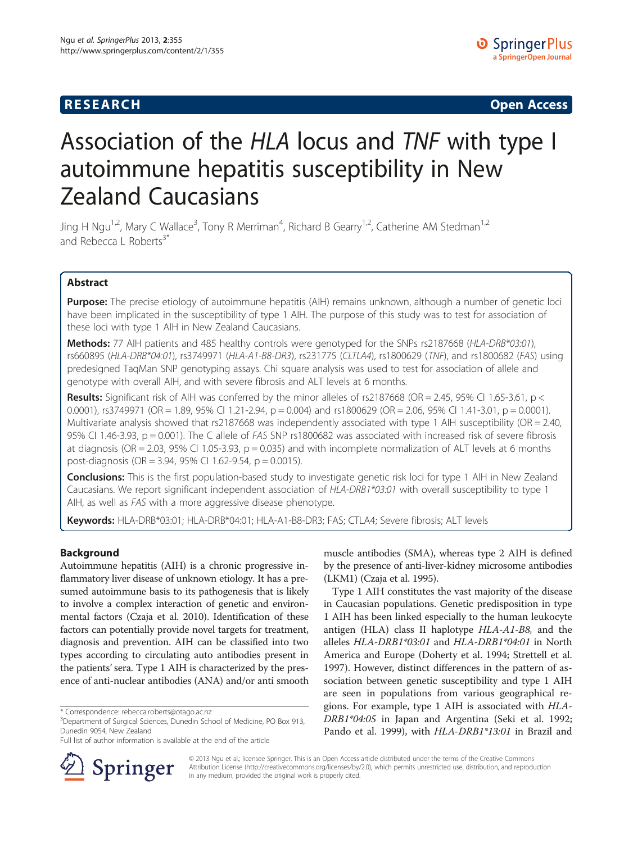# **RESEARCH CHINESE ARCH CHINESE ARCH CHINESE ARCH <b>CHINESE ARCH**

# Association of the HLA locus and TNF with type I autoimmune hepatitis susceptibility in New Zealand Caucasians

Jing H Ngu<sup>1,2</sup>, Mary C Wallace<sup>3</sup>, Tony R Merriman<sup>4</sup>, Richard B Gearry<sup>1,2</sup>, Catherine AM Stedman<sup>1,2</sup> and Rebecca L Roberts<sup>3\*</sup>

# Abstract

Purpose: The precise etiology of autoimmune hepatitis (AIH) remains unknown, although a number of genetic loci have been implicated in the susceptibility of type 1 AIH. The purpose of this study was to test for association of these loci with type 1 AIH in New Zealand Caucasians.

Methods: 77 AIH patients and 485 healthy controls were genotyped for the SNPs rs2187668 (HLA-DRB\*03:01), rs660895 (HLA-DRB\*04:01), rs3749971 (HLA-A1-B8-DR3), rs231775 (CLTLA4), rs1800629 (TNF), and rs1800682 (FAS) using predesigned TaqMan SNP genotyping assays. Chi square analysis was used to test for association of allele and genotype with overall AIH, and with severe fibrosis and ALT levels at 6 months.

**Results:** Significant risk of AIH was conferred by the minor alleles of rs2187668 (OR = 2.45, 95% CI 1.65-3.61, p < 0.0001), rs3749971 (OR = 1.89, 95% CI 1.21-2.94, p = 0.004) and rs1800629 (OR = 2.06, 95% CI 1.41-3.01, p = 0.0001). Multivariate analysis showed that rs2187668 was independently associated with type 1 AIH susceptibility (OR = 2.40, 95% CI 1.46-3.93,  $p = 0.001$ ). The C allele of *FAS* SNP rs1800682 was associated with increased risk of severe fibrosis at diagnosis (OR = 2.03, 95% CI 1.05-3.93,  $p = 0.035$ ) and with incomplete normalization of ALT levels at 6 months post-diagnosis (OR = 3.94, 95% CI 1.62-9.54, p = 0.0015).

Conclusions: This is the first population-based study to investigate genetic risk loci for type 1 AIH in New Zealand Caucasians. We report significant independent association of HLA-DRB1\*03:01 with overall susceptibility to type 1 AIH, as well as FAS with a more aggressive disease phenotype.

Keywords: HLA-DRB\*03:01; HLA-DRB\*04:01; HLA-A1-B8-DR3; FAS; CTLA4; Severe fibrosis; ALT levels

# Background

Autoimmune hepatitis (AIH) is a chronic progressive inflammatory liver disease of unknown etiology. It has a presumed autoimmune basis to its pathogenesis that is likely to involve a complex interaction of genetic and environmental factors (Czaja et al. [2010\)](#page-6-0). Identification of these factors can potentially provide novel targets for treatment, diagnosis and prevention. AIH can be classified into two types according to circulating auto antibodies present in the patients' sera. Type 1 AIH is characterized by the presence of anti-nuclear antibodies (ANA) and/or anti smooth

Full list of author information is available at the end of the article



muscle antibodies (SMA), whereas type 2 AIH is defined by the presence of anti-liver-kidney microsome antibodies (LKM1) (Czaja et al. [1995\)](#page-6-0).

Type 1 AIH constitutes the vast majority of the disease in Caucasian populations. Genetic predisposition in type 1 AIH has been linked especially to the human leukocyte antigen (HLA) class II haplotype HLA-A1-B8, and the alleles HLA-DRB1\*03:01 and HLA-DRB1\*04:01 in North America and Europe (Doherty et al. [1994](#page-6-0); Strettell et al. [1997](#page-7-0)). However, distinct differences in the pattern of association between genetic susceptibility and type 1 AIH are seen in populations from various geographical regions. For example, type 1 AIH is associated with HLA-DRB1\*04:05 in Japan and Argentina (Seki et al. [1992](#page-6-0); Pando et al. [1999](#page-6-0)), with HLA-DRB1\*13:01 in Brazil and

© 2013 Ngu et al.; licensee Springer. This is an Open Access article distributed under the terms of the Creative Commons Attribution License [\(http://creativecommons.org/licenses/by/2.0\)](http://creativecommons.org/licenses/by/2.0), which permits unrestricted use, distribution, and reproduction in any medium, provided the original work is properly cited.

<sup>\*</sup> Correspondence: [rebecca.roberts@otago.ac.nz](mailto:rebecca.roberts@otago.ac.nz) <sup>3</sup>

<sup>&</sup>lt;sup>3</sup>Department of Surgical Sciences, Dunedin School of Medicine, PO Box 913, Dunedin 9054, New Zealand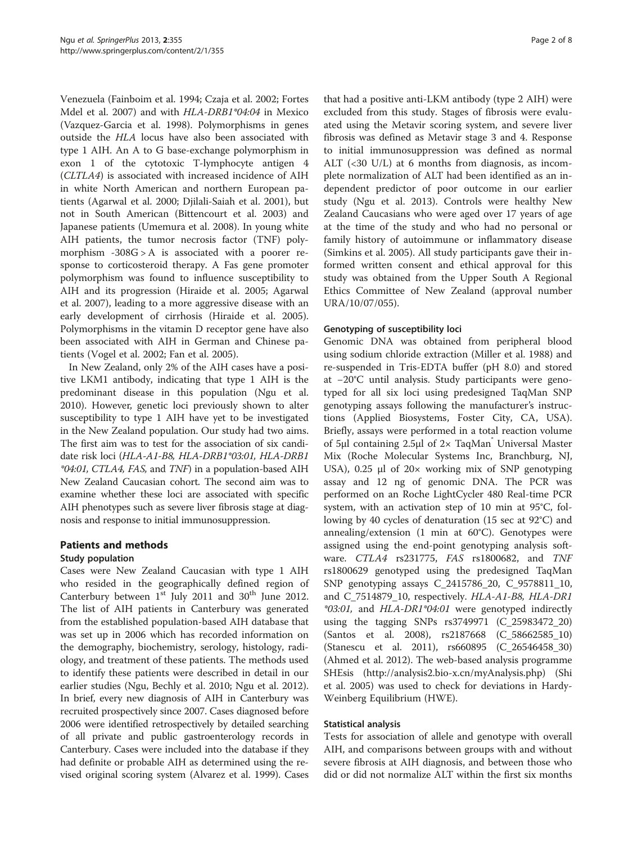Venezuela (Fainboim et al. [1994;](#page-6-0) Czaja et al. [2002](#page-6-0); Fortes Mdel et al. [2007](#page-6-0)) and with HLA-DRB1\*04:04 in Mexico (Vazquez-Garcia et al. [1998\)](#page-7-0). Polymorphisms in genes outside the HLA locus have also been associated with type 1 AIH. An A to G base-exchange polymorphism in exon 1 of the cytotoxic T-lymphocyte antigen 4 (CLTLA4) is associated with increased incidence of AIH in white North American and northern European patients (Agarwal et al. [2000](#page-6-0); Djilali-Saiah et al. [2001](#page-6-0)), but not in South American (Bittencourt et al. [2003\)](#page-6-0) and Japanese patients (Umemura et al. [2008](#page-7-0)). In young white AIH patients, the tumor necrosis factor (TNF) polymorphism -308G > A is associated with a poorer response to corticosteroid therapy. A Fas gene promoter polymorphism was found to influence susceptibility to AIH and its progression (Hiraide et al. [2005](#page-6-0); Agarwal et al. [2007](#page-6-0)), leading to a more aggressive disease with an early development of cirrhosis (Hiraide et al. [2005](#page-6-0)). Polymorphisms in the vitamin D receptor gene have also been associated with AIH in German and Chinese patients (Vogel et al. [2002](#page-7-0); Fan et al. [2005](#page-6-0)).

In New Zealand, only 2% of the AIH cases have a positive LKM1 antibody, indicating that type 1 AIH is the predominant disease in this population (Ngu et al. [2010](#page-6-0)). However, genetic loci previously shown to alter susceptibility to type 1 AIH have yet to be investigated in the New Zealand population. Our study had two aims. The first aim was to test for the association of six candidate risk loci (HLA-A1-B8, HLA-DRB1\*03:01, HLA-DRB1 \*04:01, CTLA4, FAS, and TNF) in a population-based AIH New Zealand Caucasian cohort. The second aim was to examine whether these loci are associated with specific AIH phenotypes such as severe liver fibrosis stage at diagnosis and response to initial immunosuppression.

# Patients and methods

# Study population

Cases were New Zealand Caucasian with type 1 AIH who resided in the geographically defined region of Canterbury between  $1<sup>st</sup>$  July 2011 and 30<sup>th</sup> June 2012. The list of AIH patients in Canterbury was generated from the established population-based AIH database that was set up in 2006 which has recorded information on the demography, biochemistry, serology, histology, radiology, and treatment of these patients. The methods used to identify these patients were described in detail in our earlier studies (Ngu, Bechly et al. [2010](#page-6-0); Ngu et al. [2012](#page-6-0)). In brief, every new diagnosis of AIH in Canterbury was recruited prospectively since 2007. Cases diagnosed before 2006 were identified retrospectively by detailed searching of all private and public gastroenterology records in Canterbury. Cases were included into the database if they had definite or probable AIH as determined using the revised original scoring system (Alvarez et al. [1999\)](#page-6-0). Cases that had a positive anti-LKM antibody (type 2 AIH) were excluded from this study. Stages of fibrosis were evaluated using the Metavir scoring system, and severe liver fibrosis was defined as Metavir stage 3 and 4. Response to initial immunosuppression was defined as normal ALT (<30 U/L) at 6 months from diagnosis, as incomplete normalization of ALT had been identified as an independent predictor of poor outcome in our earlier study (Ngu et al. [2013\)](#page-6-0). Controls were healthy New Zealand Caucasians who were aged over 17 years of age at the time of the study and who had no personal or family history of autoimmune or inflammatory disease (Simkins et al. [2005](#page-7-0)). All study participants gave their informed written consent and ethical approval for this study was obtained from the Upper South A Regional Ethics Committee of New Zealand (approval number URA/10/07/055).

#### Genotyping of susceptibility loci

Genomic DNA was obtained from peripheral blood using sodium chloride extraction (Miller et al. [1988](#page-6-0)) and re-suspended in Tris-EDTA buffer (pH 8.0) and stored at −20°C until analysis. Study participants were genotyped for all six loci using predesigned TaqMan SNP genotyping assays following the manufacturer's instructions (Applied Biosystems, Foster City, CA, USA). Briefly, assays were performed in a total reaction volume of 5μl containing 2.5μl of 2× TaqMan Universal Master Mix (Roche Molecular Systems Inc, Branchburg, NJ, USA), 0.25 μl of 20× working mix of SNP genotyping assay and 12 ng of genomic DNA. The PCR was performed on an Roche LightCycler 480 Real-time PCR system, with an activation step of 10 min at 95°C, following by 40 cycles of denaturation (15 sec at 92°C) and annealing/extension (1 min at 60°C). Genotypes were assigned using the end-point genotyping analysis software. CTLA4 rs231775, FAS rs1800682, and TNF rs1800629 genotyped using the predesigned TaqMan SNP genotyping assays C\_2415786\_20, C\_9578811\_10, and C\_7514879\_10, respectively. HLA-A1-B8, HLA-DR1 \*03:01, and HLA-DR1\*04:01 were genotyped indirectly using the tagging SNPs rs3749971 (C\_25983472\_20) (Santos et al. [2008](#page-6-0)), rs2187668 (C\_58662585\_10) (Stanescu et al. [2011\)](#page-7-0), rs660895 (C\_26546458\_30) (Ahmed et al. [2012](#page-6-0)). The web-based analysis programme SHEsis ([http://analysis2.bio-x.cn/myAnalysis.php\)](http://analysis2.bio-x.cn/myAnalysis.php) (Shi et al. [2005\)](#page-7-0) was used to check for deviations in Hardy-Weinberg Equilibrium (HWE).

#### Statistical analysis

Tests for association of allele and genotype with overall AIH, and comparisons between groups with and without severe fibrosis at AIH diagnosis, and between those who did or did not normalize ALT within the first six months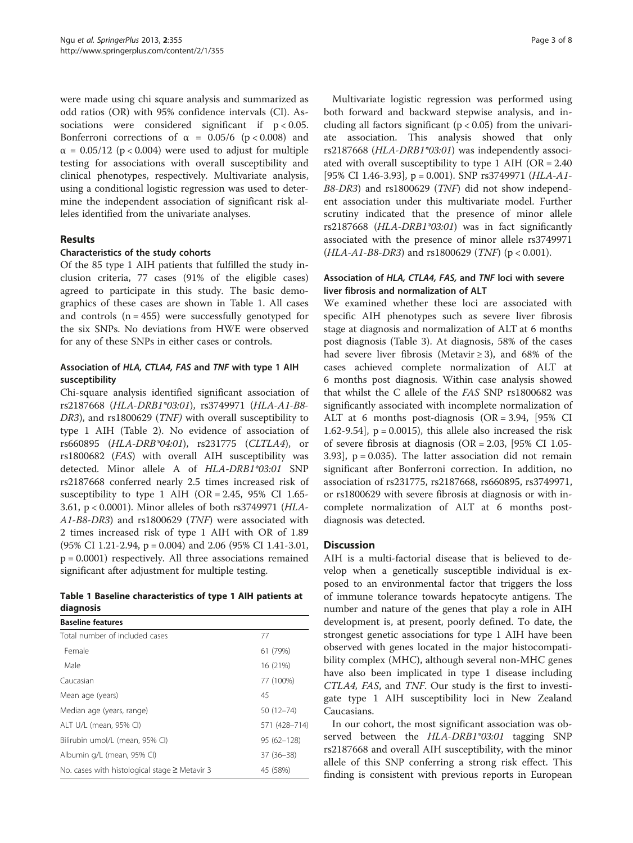were made using chi square analysis and summarized as odd ratios (OR) with 95% confidence intervals (CI). Associations were considered significant if  $p < 0.05$ . Bonferroni corrections of  $\alpha = 0.05/6$  (p < 0.008) and  $\alpha$  = 0.05/12 (p < 0.004) were used to adjust for multiple testing for associations with overall susceptibility and clinical phenotypes, respectively. Multivariate analysis, using a conditional logistic regression was used to determine the independent association of significant risk alleles identified from the univariate analyses.

#### Results

#### Characteristics of the study cohorts

Of the 85 type 1 AIH patients that fulfilled the study inclusion criteria, 77 cases (91% of the eligible cases) agreed to participate in this study. The basic demographics of these cases are shown in Table 1. All cases and controls  $(n = 455)$  were successfully genotyped for the six SNPs. No deviations from HWE were observed for any of these SNPs in either cases or controls.

# Association of HLA, CTLA4, FAS and TNF with type 1 AIH susceptibility

Chi-square analysis identified significant association of rs2187668 (HLA-DRB1\*03:01), rs3749971 (HLA-A1-B8- DR3), and rs1800629 (TNF) with overall susceptibility to type 1 AIH (Table [2\)](#page-3-0). No evidence of association of rs660895 (HLA-DRB\*04:01), rs231775 (CLTLA4), or rs1800682 (FAS) with overall AIH susceptibility was detected. Minor allele A of HLA-DRB1\*03:01 SNP rs2187668 conferred nearly 2.5 times increased risk of susceptibility to type 1 AIH (OR = 2.45, 95% CI 1.65-3.61, p < 0.0001). Minor alleles of both rs3749971 (HLA-A1-B8-DR3) and rs1800629 (TNF) were associated with 2 times increased risk of type 1 AIH with OR of 1.89 (95% CI 1.21-2.94, p = 0.004) and 2.06 (95% CI 1.41-3.01,  $p = 0.0001$ ) respectively. All three associations remained significant after adjustment for multiple testing.

# Table 1 Baseline characteristics of type 1 AIH patients at diagnosis

| <b>Baseline features</b>                           |                |
|----------------------------------------------------|----------------|
| Total number of included cases                     | 77             |
| Female                                             | 61 (79%)       |
| Male                                               | 16 (21%)       |
| Caucasian                                          | 77 (100%)      |
| Mean age (years)                                   | 45             |
| Median age (years, range)                          | $50(12 - 74)$  |
| ALT U/L (mean, 95% CI)                             | 571 (428-714)  |
| Bilirubin umol/L (mean, 95% CI)                    | $95(62 - 128)$ |
| Albumin g/L (mean, 95% CI)                         | $37(36-38)$    |
| No. cases with histological stage $\geq$ Metavir 3 | 45 (58%)       |
|                                                    |                |

Multivariate logistic regression was performed using both forward and backward stepwise analysis, and including all factors significant ( $p < 0.05$ ) from the univariate association. This analysis showed that only rs2187668 (HLA-DRB1\*03:01) was independently associated with overall susceptibility to type 1 AIH (OR = 2.40 [95% CI 1.46-3.93],  $p = 0.001$ ). SNP rs3749971 (HLA-A1-B8-DR3) and rs1800629 (TNF) did not show independent association under this multivariate model. Further scrutiny indicated that the presence of minor allele rs2187668 (HLA-DRB1\*03:01) was in fact significantly associated with the presence of minor allele rs3749971  $(HLA-A1-B8-DR3)$  and rs1800629 (TNF) (p < 0.001).

#### Association of HLA, CTLA4, FAS, and TNF loci with severe liver fibrosis and normalization of ALT

We examined whether these loci are associated with specific AIH phenotypes such as severe liver fibrosis stage at diagnosis and normalization of ALT at 6 months post diagnosis (Table [3](#page-4-0)). At diagnosis, 58% of the cases had severe liver fibrosis (Metavir  $\geq$  3), and 68% of the cases achieved complete normalization of ALT at 6 months post diagnosis. Within case analysis showed that whilst the C allele of the FAS SNP rs1800682 was significantly associated with incomplete normalization of ALT at 6 months post-diagnosis (OR = 3.94, [95% CI 1.62-9.54],  $p = 0.0015$ ), this allele also increased the risk of severe fibrosis at diagnosis (OR = 2.03, [95% CI 1.05-  $3.93$ ],  $p = 0.035$ ). The latter association did not remain significant after Bonferroni correction. In addition, no association of rs231775, rs2187668, rs660895, rs3749971, or rs1800629 with severe fibrosis at diagnosis or with incomplete normalization of ALT at 6 months postdiagnosis was detected.

# **Discussion**

AIH is a multi-factorial disease that is believed to develop when a genetically susceptible individual is exposed to an environmental factor that triggers the loss of immune tolerance towards hepatocyte antigens. The number and nature of the genes that play a role in AIH development is, at present, poorly defined. To date, the strongest genetic associations for type 1 AIH have been observed with genes located in the major histocompatibility complex (MHC), although several non-MHC genes have also been implicated in type 1 disease including CTLA4, FAS, and TNF. Our study is the first to investigate type 1 AIH susceptibility loci in New Zealand Caucasians.

In our cohort, the most significant association was observed between the HLA-DRB1\*03:01 tagging SNP rs2187668 and overall AIH susceptibility, with the minor allele of this SNP conferring a strong risk effect. This finding is consistent with previous reports in European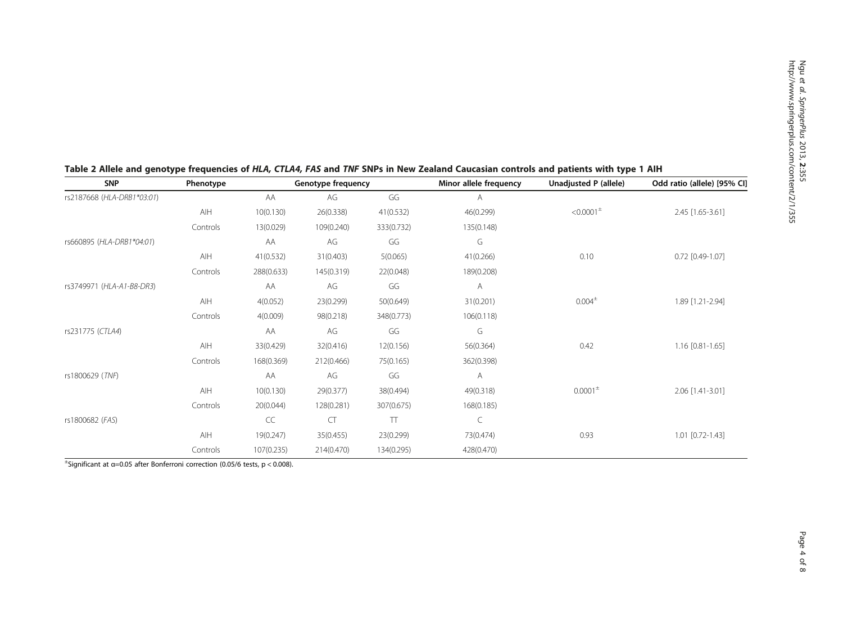| <b>SNP</b><br>rs2187668 (HLA-DRB1*03:01) | Phenotype | Genotype frequency |            |            | Minor allele frequency | Unadjusted P (allele)                  | Odd ratio (allele) [95% CI] |  |
|------------------------------------------|-----------|--------------------|------------|------------|------------------------|----------------------------------------|-----------------------------|--|
|                                          |           | AA                 | AG         | GG         | Α                      |                                        |                             |  |
|                                          | AIH       | 10(0.130)          | 26(0.338)  | 41(0.532)  | 46(0.299)              | $< 0.0001$ <sup><math>\pm</math></sup> | 2.45 [1.65-3.61]            |  |
|                                          | Controls  | 13(0.029)          | 109(0.240) | 333(0.732) | 135(0.148)             |                                        |                             |  |
| rs660895 (HLA-DRB1*04:01)                |           | AA                 | AG         | GG         | G                      |                                        |                             |  |
|                                          | AIH       | 41(0.532)          | 31(0.403)  | 5(0.065)   | 41(0.266)              | 0.10                                   | $0.72$ [0.49-1.07]          |  |
|                                          | Controls  | 288(0.633)         | 145(0.319) | 22(0.048)  | 189(0.208)             |                                        |                             |  |
| rs3749971 (HLA-A1-B8-DR3)                |           | AA                 | AG         | GG         | А                      |                                        |                             |  |
|                                          | AIH       | 4(0.052)           | 23(0.299)  | 50(0.649)  | 31(0.201)              | $0.004^{\pm}$                          | 1.89 [1.21-2.94]            |  |
|                                          | Controls  | 4(0.009)           | 98(0.218)  | 348(0.773) | 106(0.118)             |                                        |                             |  |
| rs231775 (CTLA4)                         |           | AA                 | AG         | GG         | G                      |                                        |                             |  |
|                                          | AIH       | 33(0.429)          | 32(0.416)  | 12(0.156)  | 56(0.364)              | 0.42                                   | 1.16 [0.81-1.65]            |  |
|                                          | Controls  | 168(0.369)         | 212(0.466) | 75(0.165)  | 362(0.398)             |                                        |                             |  |
| rs1800629 (TNF)                          |           | AA                 | AG         | GG         | Α                      |                                        |                             |  |
|                                          | AIH       | 10(0.130)          | 29(0.377)  | 38(0.494)  | 49(0.318)              | $0.0001^{\pm}$                         | 2.06 [1.41-3.01]            |  |
|                                          | Controls  | 20(0.044)          | 128(0.281) | 307(0.675) | 168(0.185)             |                                        |                             |  |
| rs1800682 (FAS)                          |           | CC                 | <b>CT</b>  | TT         | C                      |                                        |                             |  |
|                                          | AIH       | 19(0.247)          | 35(0.455)  | 23(0.299)  | 73(0.474)              | 0.93                                   | 1.01 [0.72-1.43]            |  |
|                                          | Controls  | 107(0.235)         | 214(0.470) | 134(0.295) | 428(0.470)             |                                        |                             |  |

# <span id="page-3-0"></span>Table 2 Allele and genotype frequencies of HLA, CTLA4, FAS and TNF SNPs in New Zealand Caucasian controls and patients with type 1 AIH

 $^{\pm}$ Significant at α=0.05 after Bonferroni correction (0.05/6 tests, p < 0.008).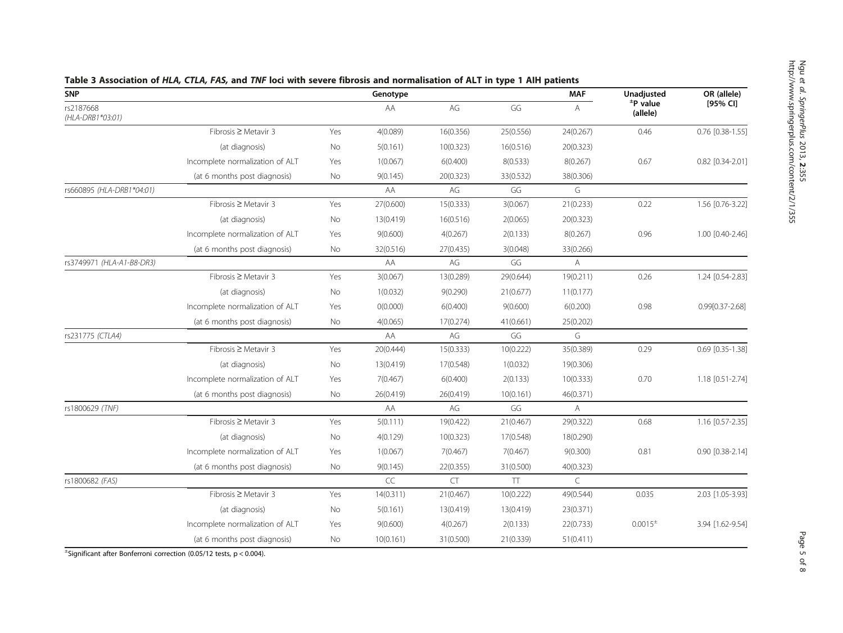| <b>SNP</b>                    |                                 | Genotype |           |            |            | <b>MAF</b> | Unadjusted                | OR (allele)      |
|-------------------------------|---------------------------------|----------|-----------|------------|------------|------------|---------------------------|------------------|
| rs2187668<br>(HLA-DRB1*03:01) |                                 |          | AA        | AG         | GG         | Α          | $\pm$ P value<br>(allele) | [95% CI]         |
|                               | Fibrosis ≥ Metavir 3            | Yes      | 4(0.089)  | 16(0.356)  | 25(0.556)  | 24(0.267)  | 0.46                      | 0.76 [0.38-1.55] |
|                               | (at diagnosis)                  | No       | 5(0.161)  | 10(0.323)  | 16(0.516)  | 20(0.323)  |                           |                  |
|                               | Incomplete normalization of ALT | Yes      | 1(0.067)  | 6(0.400)   | 8(0.533)   | 8(0.267)   | 0.67                      | 0.82 [0.34-2.01] |
|                               | (at 6 months post diagnosis)    | No       | 9(0.145)  | 20(0.323)  | 33(0.532)  | 38(0.306)  |                           |                  |
| rs660895 (HLA-DRB1*04:01)     |                                 |          | AA        | AG         | GG         | G          |                           |                  |
|                               | Fibrosis $\geq$ Metavir 3       | Yes      | 27(0.600) | 15(0.333)  | 3(0.067)   | 21(0.233)  | 0.22                      | 1.56 [0.76-3.22] |
|                               | (at diagnosis)                  | No       | 13(0.419) | 16(0.516)  | 2(0.065)   | 20(0.323)  |                           |                  |
|                               | Incomplete normalization of ALT | Yes      | 9(0.600)  | 4(0.267)   | 2(0.133)   | 8(0.267)   | 0.96                      | 1.00 [0.40-2.46] |
|                               | (at 6 months post diagnosis)    | No       | 32(0.516) | 27(0.435)  | 3(0.048)   | 33(0.266)  |                           |                  |
| rs3749971 (HLA-A1-B8-DR3)     |                                 |          | AA        | AG         | GG         | Α          |                           |                  |
|                               | Fibrosis ≥ Metavir 3            | Yes      | 3(0.067)  | 13(0.289)  | 29(0.644)  | 19(0.211)  | 0.26                      | 1.24 [0.54-2.83] |
|                               | (at diagnosis)                  | No       | 1(0.032)  | 9(0.290)   | 21(0.677)  | 11(0.177)  |                           |                  |
|                               | Incomplete normalization of ALT | Yes      | O(0.000)  | 6(0.400)   | 9(0.600)   | 6(0.200)   | 0.98                      | 0.99[0.37-2.68]  |
|                               | (at 6 months post diagnosis)    | No       | 4(0.065)  | 17(0.274)  | 41(0.661)  | 25(0.202)  |                           |                  |
| rs231775 (CTLA4)              |                                 |          | AA        | AG         | GG         | G          |                           |                  |
|                               | Fibrosis ≥ Metavir 3            | Yes      | 20(0.444) | 15(0.333)  | 10(0.222)  | 35(0.389)  | 0.29                      | 0.69 [0.35-1.38] |
|                               | (at diagnosis)                  | No       | 13(0.419) | 17(0.548)  | 1(0.032)   | 19(0.306)  |                           |                  |
|                               | Incomplete normalization of ALT | Yes      | 7(0.467)  | 6(0.400)   | 2(0.133)   | 10(0.333)  | 0.70                      | 1.18 [0.51-2.74] |
|                               | (at 6 months post diagnosis)    | No       | 26(0.419) | 26(0.419)  | 10(0.161)  | 46(0.371)  |                           |                  |
| rs1800629 (TNF)               |                                 |          | AA        | AG         | GG         | A          |                           |                  |
|                               | Fibrosis $\geq$ Metavir 3       | Yes      | 5(0.111)  | 19(0.422)  | 21(0.467)  | 29(0.322)  | 0.68                      | 1.16 [0.57-2.35] |
|                               | (at diagnosis)                  | No       | 4(0.129)  | 10(0.323)  | 17(0.548)  | 18(0.290)  |                           |                  |
|                               | Incomplete normalization of ALT | Yes      | 1(0.067)  | 7(0.467)   | 7(0.467)   | 9(0.300)   | 0.81                      | 0.90 [0.38-2.14] |
|                               | (at 6 months post diagnosis)    | No       | 9(0.145)  | 22(0.355)  | 31(0.500)  | 40(0.323)  |                           |                  |
| rs1800682 (FAS)               |                                 |          | CC        | ${\sf CT}$ | $\top\top$ | $\subset$  |                           |                  |
|                               | Fibrosis $\geq$ Metavir 3       | Yes      | 14(0.311) | 21(0.467)  | 10(0.222)  | 49(0.544)  | 0.035                     | 2.03 [1.05-3.93] |
|                               | (at diagnosis)                  | No       | 5(0.161)  | 13(0.419)  | 13(0.419)  | 23(0.371)  |                           |                  |
|                               | Incomplete normalization of ALT | Yes      | 9(0.600)  | 4(0.267)   | 2(0.133)   | 22(0.733)  | $0.0015^{\pm}$            | 3.94 [1.62-9.54] |
|                               | (at 6 months post diagnosis)    | No       | 10(0.161) | 31(0.500)  | 21(0.339)  | 51(0.411)  |                           |                  |

# <span id="page-4-0"></span>Table 3 Association of HLA, CTLA, FAS, and TNF loci with severe fibrosis and normalisation of ALT in type 1 AIH patients

± Significant after Bonferroni correction (0.05/12 tests, p < 0.004).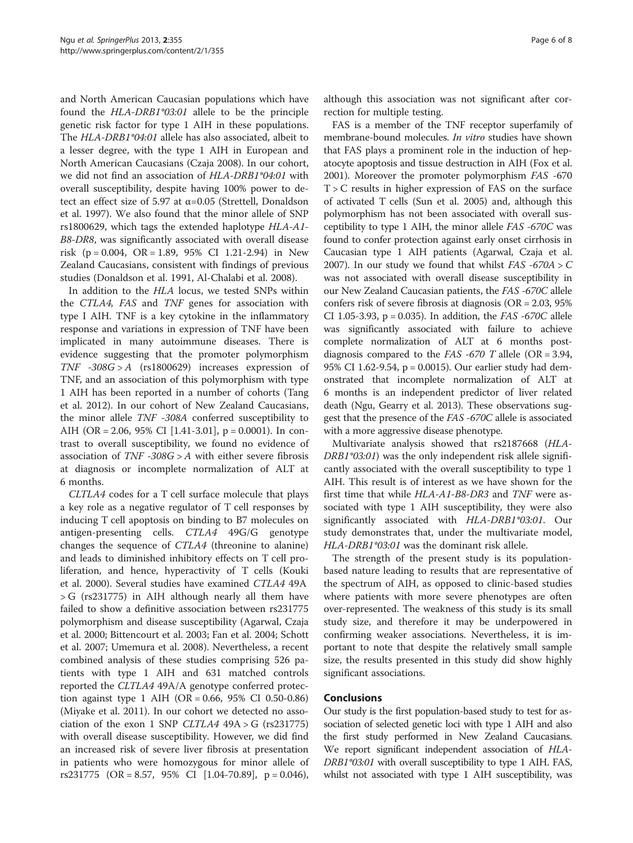and North American Caucasian populations which have found the HLA-DRB1\*03:01 allele to be the principle genetic risk factor for type 1 AIH in these populations. The HLA-DRB1\*04:01 allele has also associated, albeit to a lesser degree, with the type 1 AIH in European and North American Caucasians (Czaja [2008](#page-6-0)). In our cohort, we did not find an association of HLA-DRB1\*04:01 with overall susceptibility, despite having 100% power to detect an effect size of 5.97 at  $\alpha$ =0.05 (Strettell, Donaldson et al. [1997\)](#page-7-0). We also found that the minor allele of SNP rs1800629, which tags the extended haplotype HLA-A1- B8-DR8, was significantly associated with overall disease risk  $(p = 0.004, \text{ OR} = 1.89, 95\% \text{ CI} 1.21 - 2.94)$  in New Zealand Caucasians, consistent with findings of previous studies (Donaldson et al. [1991](#page-6-0), Al-Chalabi et al. [2008\)](#page-6-0).

In addition to the HLA locus, we tested SNPs within the CTLA4, FAS and TNF genes for association with type I AIH. TNF is a key cytokine in the inflammatory response and variations in expression of TNF have been implicated in many autoimmune diseases. There is evidence suggesting that the promoter polymorphism TNF  $-308G > A$  (rs1800629) increases expression of TNF, and an association of this polymorphism with type 1 AIH has been reported in a number of cohorts (Tang et al. [2012\)](#page-7-0). In our cohort of New Zealand Caucasians, the minor allele TNF -308A conferred susceptibility to AIH (OR = 2.06, 95% CI [1.41-3.01], p = 0.0001). In contrast to overall susceptibility, we found no evidence of association of  $TNF -308G > A$  with either severe fibrosis at diagnosis or incomplete normalization of ALT at 6 months.

CLTLA4 codes for a T cell surface molecule that plays a key role as a negative regulator of T cell responses by inducing T cell apoptosis on binding to B7 molecules on antigen-presenting cells. CTLA4 49G/G genotype changes the sequence of CTLA4 (threonine to alanine) and leads to diminished inhibitory effects on T cell proliferation, and hence, hyperactivity of T cells (Kouki et al. [2000](#page-6-0)). Several studies have examined CTLA4 49A > G (rs231775) in AIH although nearly all them have failed to show a definitive association between rs231775 polymorphism and disease susceptibility (Agarwal, Czaja et al. [2000;](#page-6-0) Bittencourt et al. [2003;](#page-6-0) Fan et al. [2004](#page-6-0); Schott et al. [2007](#page-6-0); Umemura et al. [2008\)](#page-7-0). Nevertheless, a recent combined analysis of these studies comprising 526 patients with type 1 AIH and 631 matched controls reported the CLTLA4 49A/A genotype conferred protection against type 1 AIH (OR = 0.66, 95% CI 0.50-0.86) (Miyake et al. [2011\)](#page-6-0). In our cohort we detected no association of the exon 1 SNP CLTLA4  $49A > G$  (rs231775) with overall disease susceptibility. However, we did find an increased risk of severe liver fibrosis at presentation in patients who were homozygous for minor allele of rs231775 (OR = 8.57, 95% CI [1.04-70.89], p = 0.046),

although this association was not significant after correction for multiple testing.

FAS is a member of the TNF receptor superfamily of membrane-bound molecules. In vitro studies have shown that FAS plays a prominent role in the induction of hepatocyte apoptosis and tissue destruction in AIH (Fox et al. [2001](#page-6-0)). Moreover the promoter polymorphism FAS -670  $T > C$  results in higher expression of FAS on the surface of activated T cells (Sun et al. [2005\)](#page-7-0) and, although this polymorphism has not been associated with overall susceptibility to type 1 AIH, the minor allele FAS -670C was found to confer protection against early onset cirrhosis in Caucasian type 1 AIH patients (Agarwal, Czaja et al. [2007](#page-6-0)). In our study we found that whilst  $FAS -670A > C$ was not associated with overall disease susceptibility in our New Zealand Caucasian patients, the FAS -670C allele confers risk of severe fibrosis at diagnosis (OR = 2.03, 95% CI 1.05-3.93,  $p = 0.035$ ). In addition, the *FAS* -670C allele was significantly associated with failure to achieve complete normalization of ALT at 6 months postdiagnosis compared to the *FAS* -670 T allele (OR = 3.94, 95% CI 1.62-9.54, p = 0.0015). Our earlier study had demonstrated that incomplete normalization of ALT at 6 months is an independent predictor of liver related death (Ngu, Gearry et al. [2013\)](#page-6-0). These observations suggest that the presence of the FAS -670C allele is associated with a more aggressive disease phenotype.

Multivariate analysis showed that rs2187668 (HLA-DRB1\*03:01) was the only independent risk allele significantly associated with the overall susceptibility to type 1 AIH. This result is of interest as we have shown for the first time that while HLA-A1-B8-DR3 and TNF were associated with type 1 AIH susceptibility, they were also significantly associated with HLA-DRB1\*03:01. Our study demonstrates that, under the multivariate model, HLA-DRB1\*03:01 was the dominant risk allele.

The strength of the present study is its populationbased nature leading to results that are representative of the spectrum of AIH, as opposed to clinic-based studies where patients with more severe phenotypes are often over-represented. The weakness of this study is its small study size, and therefore it may be underpowered in confirming weaker associations. Nevertheless, it is important to note that despite the relatively small sample size, the results presented in this study did show highly significant associations.

#### Conclusions

Our study is the first population-based study to test for association of selected genetic loci with type 1 AIH and also the first study performed in New Zealand Caucasians. We report significant independent association of HLA-DRB1\*03:01 with overall susceptibility to type 1 AIH. FAS, whilst not associated with type 1 AIH susceptibility, was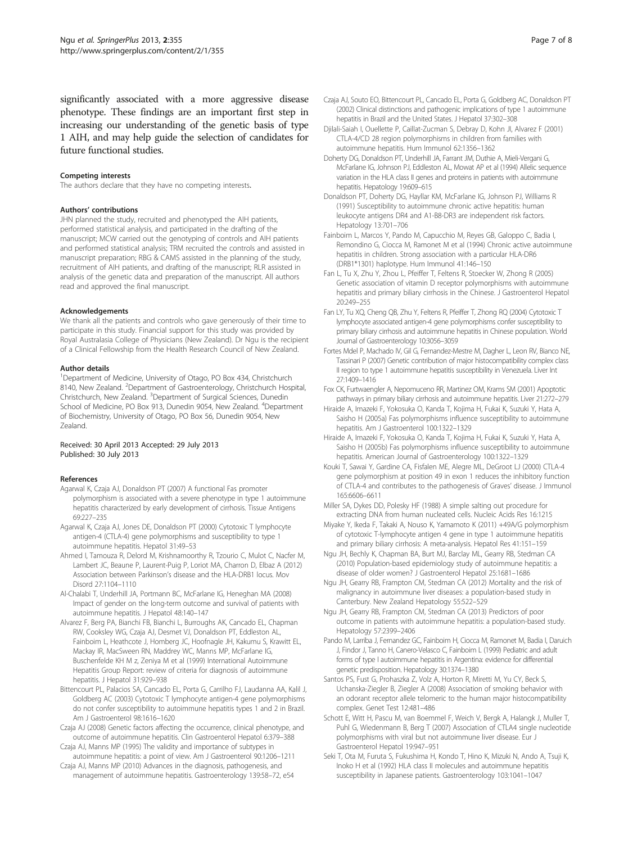<span id="page-6-0"></span>significantly associated with a more aggressive disease phenotype. These findings are an important first step in increasing our understanding of the genetic basis of type 1 AIH, and may help guide the selection of candidates for future functional studies.

#### Competing interests

The authors declare that they have no competing interests.

#### Authors' contributions

JHN planned the study, recruited and phenotyped the AIH patients, performed statistical analysis, and participated in the drafting of the manuscript; MCW carried out the genotyping of controls and AIH patients and performed statistical analysis; TRM recruited the controls and assisted in manuscript preparation; RBG & CAMS assisted in the planning of the study, recruitment of AIH patients, and drafting of the manuscript; RLR assisted in analysis of the genetic data and preparation of the manuscript. All authors read and approved the final manuscript.

#### Acknowledgements

We thank all the patients and controls who gave generously of their time to participate in this study. Financial support for this study was provided by Royal Australasia College of Physicians (New Zealand). Dr Ngu is the recipient of a Clinical Fellowship from the Health Research Council of New Zealand.

#### Author details

<sup>1</sup>Department of Medicine, University of Otago, PO Box 434, Christchurch 8140, New Zealand. <sup>2</sup>Department of Gastroenterology, Christchurch Hospital, Christchurch, New Zealand. <sup>3</sup>Department of Surgical Sciences, Dunedin School of Medicine, PO Box 913, Dunedin 9054, New Zealand. <sup>4</sup>Department of Biochemistry, University of Otago, PO Box 56, Dunedin 9054, New Zealand.

#### Received: 30 April 2013 Accepted: 29 July 2013 Published: 30 July 2013

#### References

- Agarwal K, Czaja AJ, Donaldson PT (2007) A functional Fas promoter polymorphism is associated with a severe phenotype in type 1 autoimmune hepatitis characterized by early development of cirrhosis. Tissue Antigens 69:227–235
- Agarwal K, Czaja AJ, Jones DE, Donaldson PT (2000) Cytotoxic T lymphocyte antigen-4 (CTLA-4) gene polymorphisms and susceptibility to type 1 autoimmune hepatitis. Hepatol 31:49–53
- Ahmed I, Tamouza R, Delord M, Krishnamoorthy R, Tzourio C, Mulot C, Nacfer M, Lambert JC, Beaune P, Laurent-Puig P, Loriot MA, Charron D, Elbaz A (2012) Association between Parkinson's disease and the HLA-DRB1 locus. Mov Disord 27:1104–1110
- Al-Chalabi T, Underhill JA, Portmann BC, McFarlane IG, Heneghan MA (2008) Impact of gender on the long-term outcome and survival of patients with autoimmune hepatitis. J Hepatol 48:140–147
- Alvarez F, Berg PA, Bianchi FB, Bianchi L, Burroughs AK, Cancado EL, Chapman RW, Cooksley WG, Czaja AJ, Desmet VJ, Donaldson PT, Eddleston AL, Fainboim L, Heathcote J, Homberg JC, Hoofnagle JH, Kakumu S, Krawitt EL, Mackay IR, MacSween RN, Maddrey WC, Manns MP, McFarlane IG, Buschenfelde KH M z, Zeniya M et al (1999) International Autoimmune Hepatitis Group Report: review of criteria for diagnosis of autoimmune hepatitis. J Hepatol 31:929–938
- Bittencourt PL, Palacios SA, Cancado EL, Porta G, Carrilho FJ, Laudanna AA, Kalil J, Goldberg AC (2003) Cytotoxic T lymphocyte antigen-4 gene polymorphisms do not confer susceptibility to autoimmune hepatitis types 1 and 2 in Brazil. Am J Gastroenterol 98:1616–1620
- Czaja AJ (2008) Genetic factors affecting the occurrence, clinical phenotype, and outcome of autoimmune hepatitis. Clin Gastroenterol Hepatol 6:379–388
- Czaja AJ, Manns MP (1995) The validity and importance of subtypes in autoimmune hepatitis: a point of view. Am J Gastroenterol 90:1206–1211
- Czaja AJ, Manns MP (2010) Advances in the diagnosis, pathogenesis, and management of autoimmune hepatitis. Gastroenterology 139:58–72, e54
- Czaja AJ, Souto EO, Bittencourt PL, Cancado EL, Porta G, Goldberg AC, Donaldson PT (2002) Clinical distinctions and pathogenic implications of type 1 autoimmune hepatitis in Brazil and the United States. J Hepatol 37:302–308
- Djilali-Saiah I, Ouellette P, Caillat-Zucman S, Debray D, Kohn JI, Alvarez F (2001) CTLA-4/CD 28 region polymorphisms in children from families with autoimmune hepatitis. Hum Immunol 62:1356–1362
- Doherty DG, Donaldson PT, Underhill JA, Farrant JM, Duthie A, Mieli-Vergani G, McFarlane IG, Johnson PJ, Eddleston AL, Mowat AP et al (1994) Allelic sequence variation in the HLA class II genes and proteins in patients with autoimmune hepatitis. Hepatology 19:609–615
- Donaldson PT, Doherty DG, Hayllar KM, McFarlane IG, Johnson PJ, Williams R (1991) Susceptibility to autoimmune chronic active hepatitis: human leukocyte antigens DR4 and A1-B8-DR3 are independent risk factors. Hepatology 13:701–706
- Fainboim L, Marcos Y, Pando M, Capucchio M, Reyes GB, Galoppo C, Badia I, Remondino G, Ciocca M, Ramonet M et al (1994) Chronic active autoimmune hepatitis in children. Strong association with a particular HLA-DR6 (DRB1\*1301) haplotype. Hum Immunol 41:146–150
- Fan L, Tu X, Zhu Y, Zhou L, Pfeiffer T, Feltens R, Stoecker W, Zhong R (2005) Genetic association of vitamin D receptor polymorphisms with autoimmune hepatitis and primary biliary cirrhosis in the Chinese. J Gastroenterol Hepatol 20:249–255
- Fan LY, Tu XQ, Cheng QB, Zhu Y, Feltens R, Pfeiffer T, Zhong RQ (2004) Cytotoxic T lymphocyte associated antigen-4 gene polymorphisms confer susceptibility to primary biliary cirrhosis and autoimmune hepatitis in Chinese population. World Journal of Gastroenterology 10:3056–3059
- Fortes Mdel P, Machado IV, Gil G, Fernandez-Mestre M, Dagher L, Leon RV, Bianco NE, Tassinari P (2007) Genetic contribution of major histocompatibility complex class II region to type 1 autoimmune hepatitis susceptibility in Venezuela. Liver Int 27:1409–1416
- Fox CK, Furtwaengler A, Nepomuceno RR, Martinez OM, Krams SM (2001) Apoptotic pathways in primary biliary cirrhosis and autoimmune hepatitis. Liver 21:272–279
- Hiraide A, Imazeki F, Yokosuka O, Kanda T, Kojima H, Fukai K, Suzuki Y, Hata A, Saisho H (2005a) Fas polymorphisms influence susceptibility to autoimmune hepatitis. Am J Gastroenterol 100:1322–1329
- Hiraide A, Imazeki F, Yokosuka O, Kanda T, Kojima H, Fukai K, Suzuki Y, Hata A, Saisho H (2005b) Fas polymorphisms influence susceptibility to autoimmune hepatitis. American Journal of Gastroenterology 100:1322–1329
- Kouki T, Sawai Y, Gardine CA, Fisfalen ME, Alegre ML, DeGroot LJ (2000) CTLA-4 gene polymorphism at position 49 in exon 1 reduces the inhibitory function of CTLA-4 and contributes to the pathogenesis of Graves' disease. J Immunol 165:6606–6611
- Miller SA, Dykes DD, Polesky HF (1988) A simple salting out procedure for extracting DNA from human nucleated cells. Nucleic Acids Res 16:1215
- Miyake Y, Ikeda F, Takaki A, Nouso K, Yamamoto K (2011) +49A/G polymorphism of cytotoxic T-lymphocyte antigen 4 gene in type 1 autoimmune hepatitis and primary biliary cirrhosis: A meta-analysis. Hepatol Res 41:151–159
- Ngu JH, Bechly K, Chapman BA, Burt MJ, Barclay ML, Gearry RB, Stedman CA (2010) Population-based epidemiology study of autoimmune hepatitis: a disease of older women? J Gastroenterol Hepatol 25:1681–1686
- Ngu JH, Gearry RB, Frampton CM, Stedman CA (2012) Mortality and the risk of malignancy in autoimmune liver diseases: a population-based study in Canterbury. New Zealand Hepatology 55:522–529
- Ngu JH, Gearry RB, Frampton CM, Stedman CA (2013) Predictors of poor outcome in patients with autoimmune hepatitis: a population-based study. Hepatology 57:2399–2406
- Pando M, Larriba J, Fernandez GC, Fainboim H, Ciocca M, Ramonet M, Badia I, Daruich J, Findor J, Tanno H, Canero-Velasco C, Fainboim L (1999) Pediatric and adult forms of type I autoimmune hepatitis in Argentina: evidence for differential genetic predisposition. Hepatology 30:1374–1380
- Santos PS, Fust G, Prohaszka Z, Volz A, Horton R, Miretti M, Yu CY, Beck S, Uchanska-Ziegler B, Ziegler A (2008) Association of smoking behavior with an odorant receptor allele telomeric to the human major histocompatibility complex. Genet Test 12:481–486
- Schott E, Witt H, Pascu M, van Boemmel F, Weich V, Bergk A, Halangk J, Muller T, Puhl G, Wiedenmann B, Berg T (2007) Association of CTLA4 single nucleotide polymorphisms with viral but not autoimmune liver disease. Eur J Gastroenterol Hepatol 19:947–951
- Seki T, Ota M, Furuta S, Fukushima H, Kondo T, Hino K, Mizuki N, Ando A, Tsuji K, Inoko H et al (1992) HLA class II molecules and autoimmune hepatitis susceptibility in Japanese patients. Gastroenterology 103:1041–1047